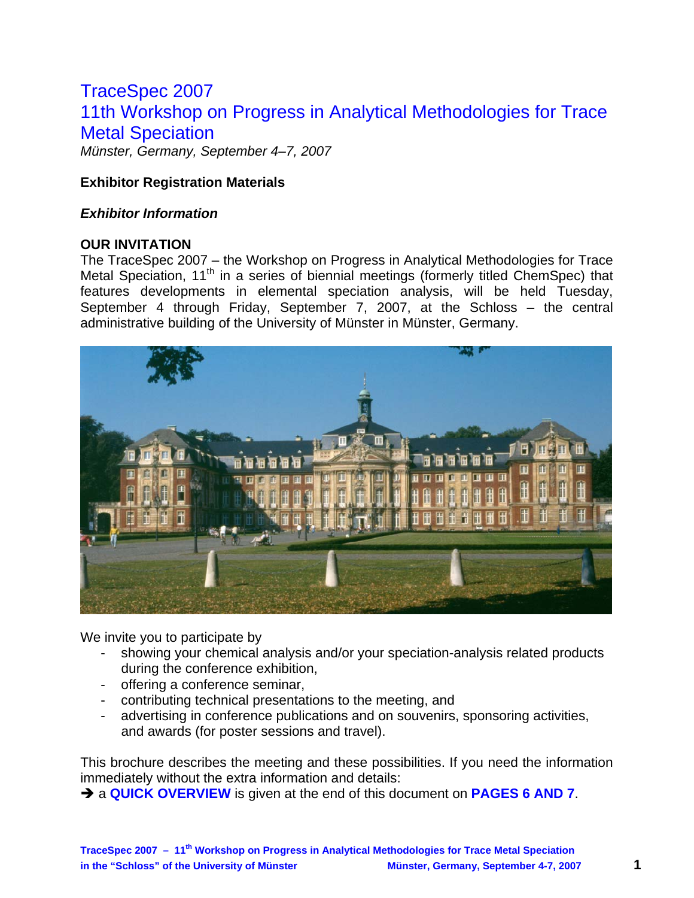## TraceSpec 2007 11th Workshop on Progress in Analytical Methodologies for Trace Metal Speciation *Münster, Germany, September 4–7, 2007*

#### **Exhibitor Registration Materials**

#### *Exhibitor Information*

#### **OUR INVITATION**

The TraceSpec 2007 – the Workshop on Progress in Analytical Methodologies for Trace Metal Speciation, 11<sup>th</sup> in a series of biennial meetings (formerly titled ChemSpec) that features developments in elemental speciation analysis, will be held Tuesday, September 4 through Friday, September 7, 2007, at the Schloss – the central administrative building of the University of Münster in Münster, Germany.



We invite you to participate by

- showing your chemical analysis and/or your speciation-analysis related products during the conference exhibition,
- offering a conference seminar,
- contributing technical presentations to the meeting, and
- advertising in conference publications and on souvenirs, sponsoring activities, and awards (for poster sessions and travel).

This brochure describes the meeting and these possibilities. If you need the information immediately without the extra information and details:

 $\rightarrow$  a **QUICK OVERVIEW** is given at the end of this document on **PAGES 6 AND 7**.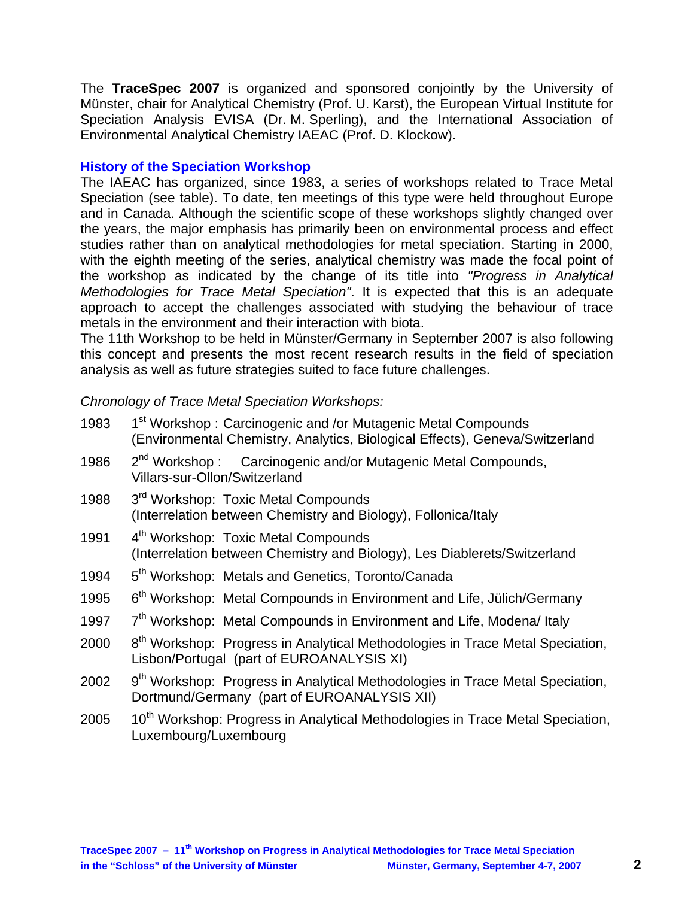The **TraceSpec 2007** is organized and sponsored conjointly by the University of Münster, chair for Analytical Chemistry (Prof. U. Karst), the European Virtual Institute for Speciation Analysis EVISA (Dr. M. Sperling), and the International Association of Environmental Analytical Chemistry IAEAC (Prof. D. Klockow).

#### **History of the Speciation Workshop**

The IAEAC has organized, since 1983, a series of workshops related to Trace Metal Speciation (see table). To date, ten meetings of this type were held throughout Europe and in Canada. Although the scientific scope of these workshops slightly changed over the years, the major emphasis has primarily been on environmental process and effect studies rather than on analytical methodologies for metal speciation. Starting in 2000, with the eighth meeting of the series, analytical chemistry was made the focal point of the workshop as indicated by the change of its title into *"Progress in Analytical Methodologies for Trace Metal Speciation"*. It is expected that this is an adequate approach to accept the challenges associated with studying the behaviour of trace metals in the environment and their interaction with biota.

The 11th Workshop to be held in Münster/Germany in September 2007 is also following this concept and presents the most recent research results in the field of speciation analysis as well as future strategies suited to face future challenges.

*Chronology of Trace Metal Speciation Workshops:* 

| 1983 | 1 <sup>st</sup> Workshop: Carcinogenic and /or Mutagenic Metal Compounds     |
|------|------------------------------------------------------------------------------|
|      | (Environmental Chemistry, Analytics, Biological Effects), Geneva/Switzerland |

- 1986 2<sup>nd</sup> Workshop : Carcinogenic and/or Mutagenic Metal Compounds, Villars-sur-Ollon/Switzerland
- 1988 3<sup>rd</sup> Workshop: Toxic Metal Compounds (Interrelation between Chemistry and Biology), Follonica/Italy
- 1991 4<sup>th</sup> Workshop: Toxic Metal Compounds (Interrelation between Chemistry and Biology), Les Diablerets/Switzerland
- 1994 5<sup>th</sup> Workshop: Metals and Genetics, Toronto/Canada
- 1995 6<sup>th</sup> Workshop: Metal Compounds in Environment and Life, Jülich/Germany
- 1997 7<sup>th</sup> Workshop: Metal Compounds in Environment and Life, Modena/ Italy
- 2000 8<sup>th</sup> Workshop: Progress in Analytical Methodologies in Trace Metal Speciation, Lisbon/Portugal (part of EUROANALYSIS XI)
- 2002 9<sup>th</sup> Workshop: Progress in Analytical Methodologies in Trace Metal Speciation, Dortmund/Germany (part of EUROANALYSIS XII)
- 2005 10<sup>th</sup> Workshop: Progress in Analytical Methodologies in Trace Metal Speciation, Luxembourg/Luxembourg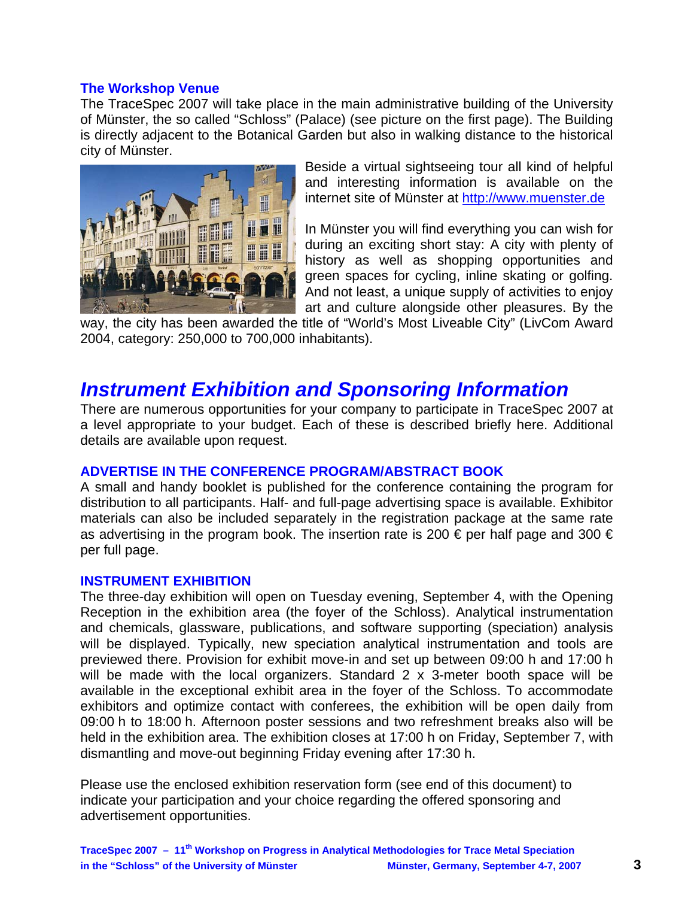#### **The Workshop Venue**

The TraceSpec 2007 will take place in the main administrative building of the University of Münster, the so called "Schloss" (Palace) (see picture on the first page). The Building is directly adjacent to the Botanical Garden but also in walking distance to the historical city of Münster.



Beside a virtual sightseeing tour all kind of helpful and interesting information is available on the internet site of Münster at [http://www.muenster.de](http://www.muenster.de/) 

In Münster you will find everything you can wish for during an exciting short stay: A city with plenty of history as well as shopping opportunities and green spaces for cycling, inline skating or golfing. And not least, a unique supply of activities to enjoy art and culture alongside other pleasures. By the

way, the city has been awarded the title of "World's Most Liveable City" (LivCom Award 2004, category: 250,000 to 700,000 inhabitants).

## *Instrument Exhibition and Sponsoring Information*

There are numerous opportunities for your company to participate in TraceSpec 2007 at a level appropriate to your budget. Each of these is described briefly here. Additional details are available upon request.

#### **ADVERTISE IN THE CONFERENCE PROGRAM/ABSTRACT BOOK**

A small and handy booklet is published for the conference containing the program for distribution to all participants. Half- and full-page advertising space is available. Exhibitor materials can also be included separately in the registration package at the same rate as advertising in the program book. The insertion rate is 200  $\epsilon$  per half page and 300  $\epsilon$ per full page.

#### **INSTRUMENT EXHIBITION**

The three-day exhibition will open on Tuesday evening, September 4, with the Opening Reception in the exhibition area (the foyer of the Schloss). Analytical instrumentation and chemicals, glassware, publications, and software supporting (speciation) analysis will be displayed. Typically, new speciation analytical instrumentation and tools are previewed there. Provision for exhibit move-in and set up between 09:00 h and 17:00 h will be made with the local organizers. Standard 2 x 3-meter booth space will be available in the exceptional exhibit area in the foyer of the Schloss. To accommodate exhibitors and optimize contact with conferees, the exhibition will be open daily from 09:00 h to 18:00 h. Afternoon poster sessions and two refreshment breaks also will be held in the exhibition area. The exhibition closes at 17:00 h on Friday, September 7, with dismantling and move-out beginning Friday evening after 17:30 h.

Please use the enclosed exhibition reservation form (see end of this document) to indicate your participation and your choice regarding the offered sponsoring and advertisement opportunities.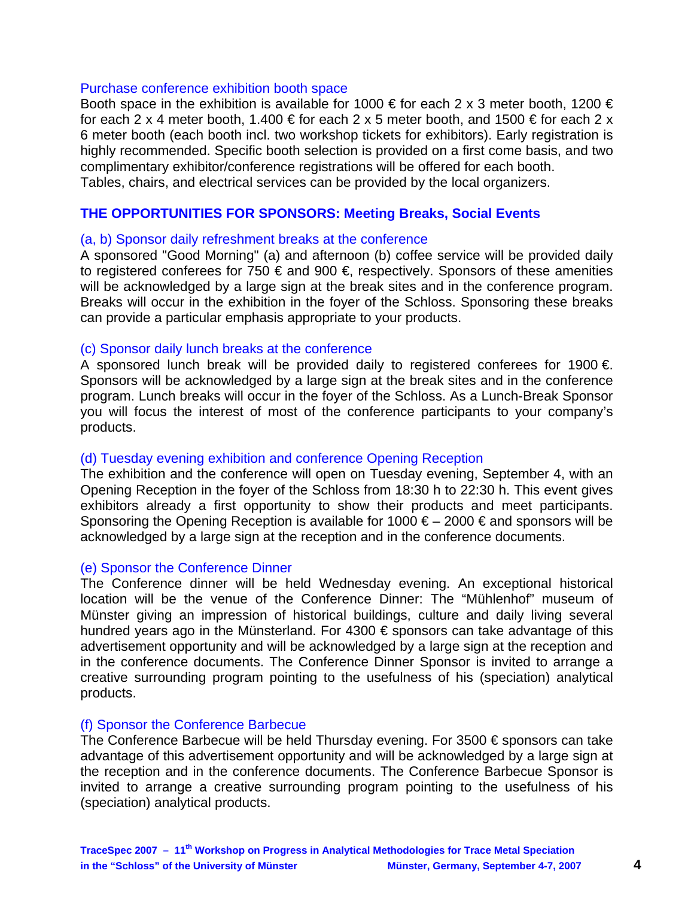#### Purchase conference exhibition booth space

Booth space in the exhibition is available for 1000  $\epsilon$  for each 2 x 3 meter booth, 1200  $\epsilon$ for each 2 x 4 meter booth, 1.400  $\epsilon$  for each 2 x 5 meter booth, and 1500  $\epsilon$  for each 2 x 6 meter booth (each booth incl. two workshop tickets for exhibitors). Early registration is highly recommended. Specific booth selection is provided on a first come basis, and two complimentary exhibitor/conference registrations will be offered for each booth. Tables, chairs, and electrical services can be provided by the local organizers.

#### **THE OPPORTUNITIES FOR SPONSORS: Meeting Breaks, Social Events**

#### (a, b) Sponsor daily refreshment breaks at the conference

A sponsored "Good Morning" (a) and afternoon (b) coffee service will be provided daily to registered conferees for 750  $\epsilon$  and 900  $\epsilon$ , respectively. Sponsors of these amenities will be acknowledged by a large sign at the break sites and in the conference program. Breaks will occur in the exhibition in the foyer of the Schloss. Sponsoring these breaks can provide a particular emphasis appropriate to your products.

#### (c) Sponsor daily lunch breaks at the conference

A sponsored lunch break will be provided daily to registered conferees for 1900  $\epsilon$ . Sponsors will be acknowledged by a large sign at the break sites and in the conference program. Lunch breaks will occur in the foyer of the Schloss. As a Lunch-Break Sponsor you will focus the interest of most of the conference participants to your company's products.

#### (d) Tuesday evening exhibition and conference Opening Reception

The exhibition and the conference will open on Tuesday evening, September 4, with an Opening Reception in the foyer of the Schloss from 18:30 h to 22:30 h. This event gives exhibitors already a first opportunity to show their products and meet participants. Sponsoring the Opening Reception is available for 1000  $\epsilon$  – 2000  $\epsilon$  and sponsors will be acknowledged by a large sign at the reception and in the conference documents.

#### (e) Sponsor the Conference Dinner

The Conference dinner will be held Wednesday evening. An exceptional historical location will be the venue of the Conference Dinner: The "Mühlenhof" museum of Münster giving an impression of historical buildings, culture and daily living several hundred years ago in the Münsterland. For 4300 € sponsors can take advantage of this advertisement opportunity and will be acknowledged by a large sign at the reception and in the conference documents. The Conference Dinner Sponsor is invited to arrange a creative surrounding program pointing to the usefulness of his (speciation) analytical products.

#### (f) Sponsor the Conference Barbecue

The Conference Barbecue will be held Thursday evening. For 3500 € sponsors can take advantage of this advertisement opportunity and will be acknowledged by a large sign at the reception and in the conference documents. The Conference Barbecue Sponsor is invited to arrange a creative surrounding program pointing to the usefulness of his (speciation) analytical products.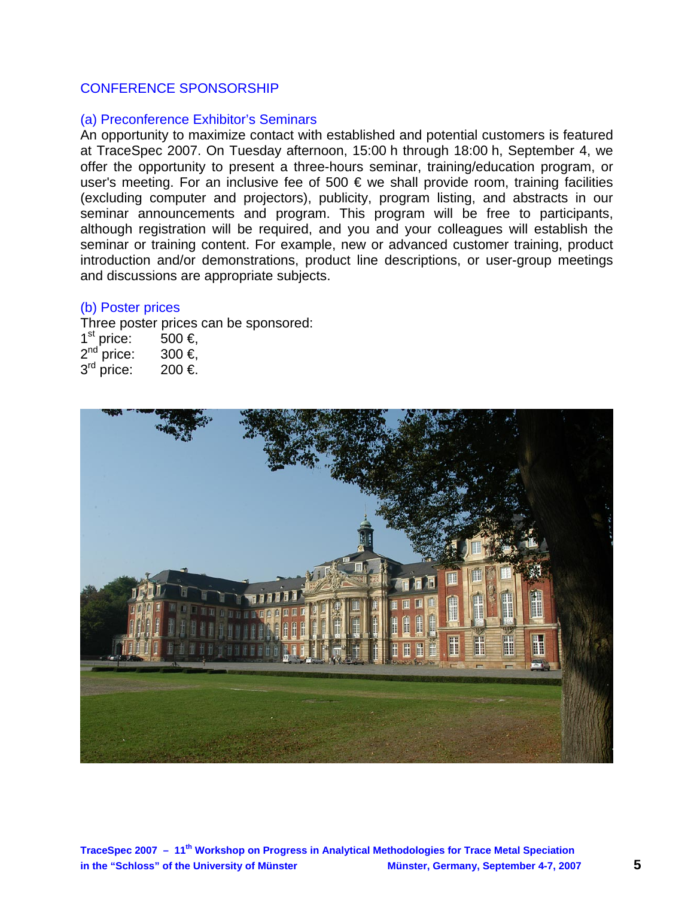#### CONFERENCE SPONSORSHIP

#### (a) Preconference Exhibitor's Seminars

An opportunity to maximize contact with established and potential customers is featured at TraceSpec 2007. On Tuesday afternoon, 15:00 h through 18:00 h, September 4, we offer the opportunity to present a three-hours seminar, training/education program, or user's meeting. For an inclusive fee of 500  $\epsilon$  we shall provide room, training facilities (excluding computer and projectors), publicity, program listing, and abstracts in our seminar announcements and program. This program will be free to participants, although registration will be required, and you and your colleagues will establish the seminar or training content. For example, new or advanced customer training, product introduction and/or demonstrations, product line descriptions, or user-group meetings and discussions are appropriate subjects.

#### (b) Poster prices

Three poster prices can be sponsored:

| 1 <sup>st</sup> price: | 500 €, |
|------------------------|--------|
| $2nd$ price:           | 300 €, |
| 3 <sup>rd</sup> price: | 200 €  |

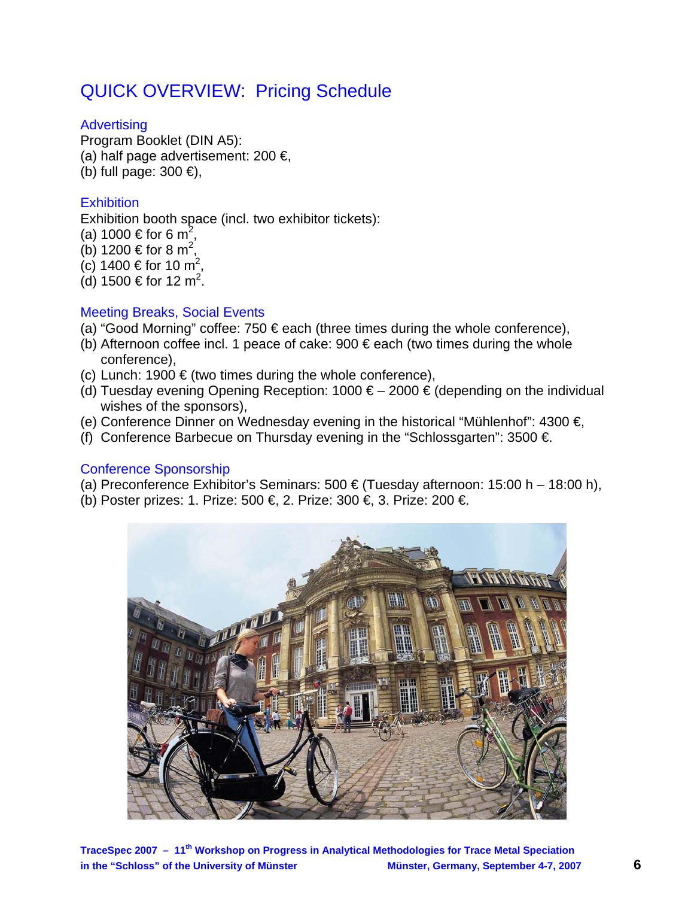## QUICK OVERVIEW: Pricing Schedule

#### **Advertising**

Program Booklet (DIN A5): (a) half page advertisement: 200  $\epsilon$ , (b) full page:  $300 \in \mathcal{E}$ ,

#### **Exhibition**

Exhibition booth space (incl. two exhibitor tickets):

- (a) 1000 € for 6 m<sup>2</sup>,
- (b) 1200 € for 8 m<sup>2</sup>,
- (c) 1400 € for 10 m<sup>2</sup> ,
- (d) 1500 € for 12 m<sup>2</sup>.

#### Meeting Breaks, Social Events

- (a) "Good Morning" coffee: 750  $\epsilon$  each (three times during the whole conference),
- (b) Afternoon coffee incl. 1 peace of cake: 900  $\epsilon$  each (two times during the whole conference),
- (c) Lunch: 1900  $\epsilon$  (two times during the whole conference),
- (d) Tuesday evening Opening Reception:  $1000 \epsilon 2000 \epsilon$  (depending on the individual wishes of the sponsors),
- (e) Conference Dinner on Wednesday evening in the historical "Mühlenhof": 4300 €,
- (f) Conference Barbecue on Thursday evening in the "Schlossgarten": 3500  $\epsilon$ .

#### Conference Sponsorship

- (a) Preconference Exhibitor's Seminars:  $500 \in (Tuesday$  afternoon: 15:00 h 18:00 h),
- (b) Poster prizes: 1. Prize: 500 €, 2. Prize: 300 €, 3. Prize: 200 €.

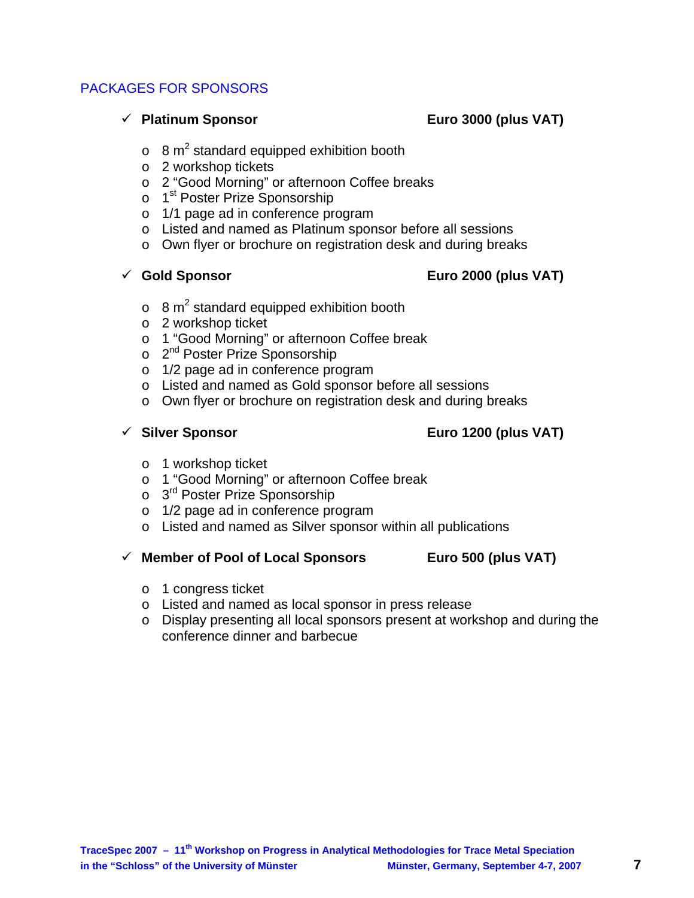### PACKAGES FOR SPONSORS

#### 9 **Platinum Sponsor Euro 3000 (plus VAT)**

- $\circ$  8 m<sup>2</sup> standard equipped exhibition booth
- o 2 workshop tickets
- o 2 "Good Morning" or afternoon Coffee breaks
- o 1<sup>st</sup> Poster Prize Sponsorship
- o 1/1 page ad in conference program
- o Listed and named as Platinum sponsor before all sessions
- o Own flyer or brochure on registration desk and during breaks

### 9 **Gold Sponsor Euro 2000 (plus VAT)**

- $\circ$  8 m<sup>2</sup> standard equipped exhibition booth
- o 2 workshop ticket
- o 1 "Good Morning" or afternoon Coffee break
- o 2<sup>nd</sup> Poster Prize Sponsorship
- o 1/2 page ad in conference program
- o Listed and named as Gold sponsor before all sessions
- o Own flyer or brochure on registration desk and during breaks

- o 1 workshop ticket
- o 1 "Good Morning" or afternoon Coffee break
- o 3<sup>rd</sup> Poster Prize Sponsorship
- o 1/2 page ad in conference program
- o Listed and named as Silver sponsor within all publications

#### 9 **Member of Pool of Local Sponsors Euro 500 (plus VAT)**

- o 1 congress ticket
- o Listed and named as local sponsor in press release
- o Display presenting all local sponsors present at workshop and during the conference dinner and barbecue

#### 9 **Silver Sponsor Euro 1200 (plus VAT)**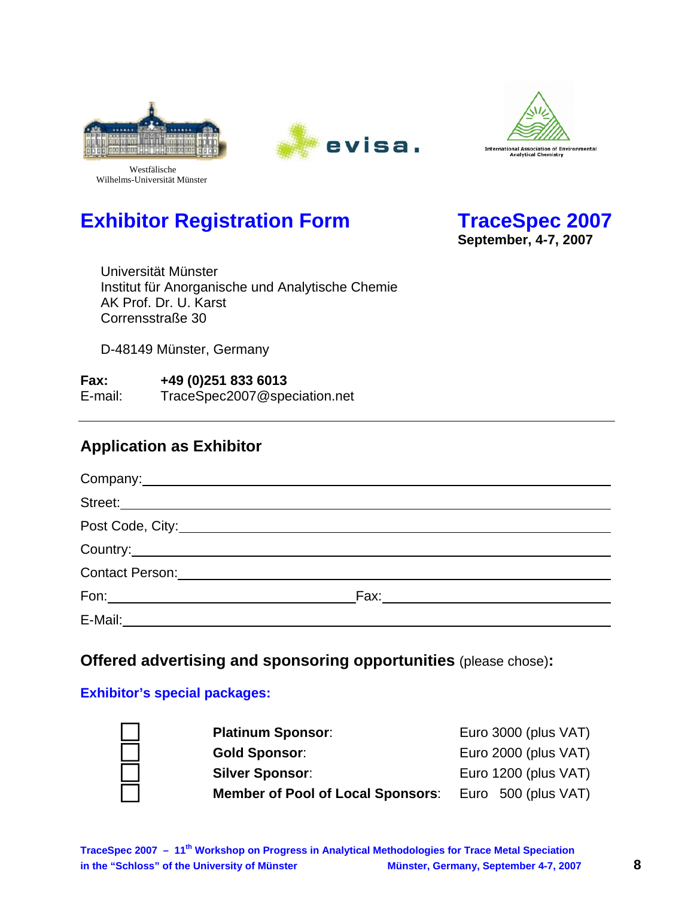





**September, 4-7, 2007**

# **Exhibitor Registration Form TraceSpec 2007**

Universität Münster Institut für Anorganische und Analytische Chemie AK Prof. Dr. U. Karst Corrensstraße 30

D-48149 Münster, Germany

#### **Fax: +49 (0)251 833 6013**  E-mail: TraceSpec2007@speciation.net

## **Application as Exhibitor**

| E-Mail: |  |
|---------|--|

## **Offered advertising and sponsoring opportunities** (please chose)**:**

#### **Exhibitor's special packages:**

| <b>Platinum Sponsor:</b>                 | Euro 3000 (plus VAT) |
|------------------------------------------|----------------------|
| <b>Gold Sponsor:</b>                     | Euro 2000 (plus VAT) |
| <b>Silver Sponsor:</b>                   | Euro 1200 (plus VAT) |
| <b>Member of Pool of Local Sponsors:</b> | Euro 500 (plus VAT)  |